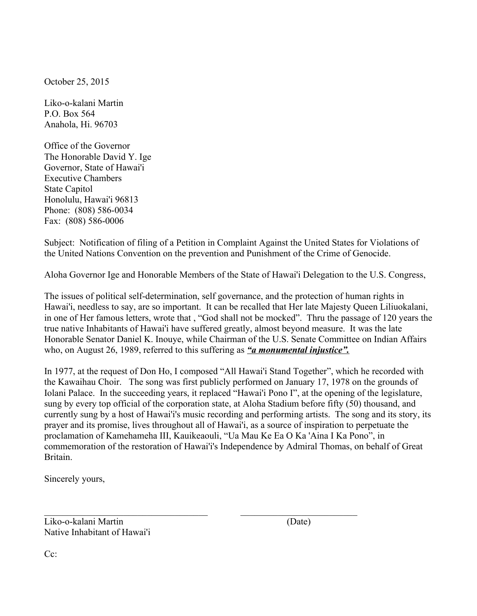October 25, 2015

Liko-o-kalani Martin P.O. Box 564 Anahola, Hi. 96703

Office of the Governor The Honorable David Y. Ige Governor, State of Hawai'i Executive Chambers State Capitol Honolulu, Hawai'i 96813 Phone: (808) 586-0034 Fax: (808) 586-0006

Subject: Notification of filing of a Petition in Complaint Against the United States for Violations of the United Nations Convention on the prevention and Punishment of the Crime of Genocide.

Aloha Governor Ige and Honorable Members of the State of Hawai'i Delegation to the U.S. Congress,

The issues of political self-determination, self governance, and the protection of human rights in Hawai'i, needless to say, are so important. It can be recalled that Her late Majesty Queen Liliuokalani, in one of Her famous letters, wrote that , "God shall not be mocked". Thru the passage of 120 years the true native Inhabitants of Hawai'i have suffered greatly, almost beyond measure. It was the late Honorable Senator Daniel K. Inouye, while Chairman of the U.S. Senate Committee on Indian Affairs who, on August 26, 1989, referred to this suffering as *"a monumental injustice".*

In 1977, at the request of Don Ho, I composed "All Hawai'i Stand Together", which he recorded with the Kawaihau Choir. The song was first publicly performed on January 17, 1978 on the grounds of Iolani Palace. In the succeeding years, it replaced "Hawai'i Pono I", at the opening of the legislature, sung by every top official of the corporation state, at Aloha Stadium before fifty (50) thousand, and currently sung by a host of Hawai'i's music recording and performing artists. The song and its story, its prayer and its promise, lives throughout all of Hawai'i, as a source of inspiration to perpetuate the proclamation of Kamehameha III, Kauikeaouli, "Ua Mau Ke Ea O Ka 'Aina I Ka Pono", in commemoration of the restoration of Hawai'i's Independence by Admiral Thomas, on behalf of Great **Britain** 

 $\_$  , and the contribution of the contribution of  $\mathcal{L}_\mathcal{A}$  , and the contribution of  $\mathcal{L}_\mathcal{A}$ 

Sincerely yours,

Liko-o-kalani Martin (Date) Native Inhabitant of Hawai'i

Cc: